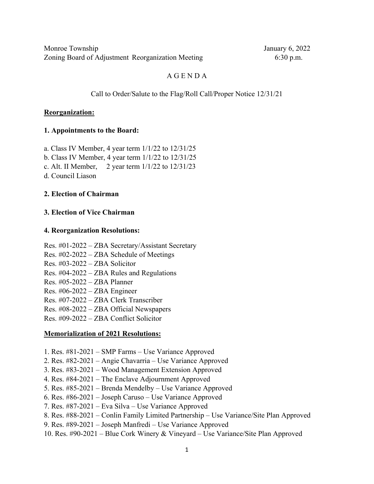### A G E N D A

#### Call to Order/Salute to the Flag/Roll Call/Proper Notice 12/31/21

#### **Reorganization:**

#### **1. Appointments to the Board:**

a. Class IV Member, 4 year term 1/1/22 to 12/31/25

b. Class IV Member, 4 year term 1/1/22 to 12/31/25

c. Alt. II Member, 2 year term 1/1/22 to 12/31/23

d. Council Liason

### **2. Election of Chairman**

#### **3. Election of Vice Chairman**

#### **4. Reorganization Resolutions:**

Res. #01-2022 – ZBA Secretary/Assistant Secretary Res. #02-2022 – ZBA Schedule of Meetings Res. #03-2022 – ZBA Solicitor Res. #04-2022 – ZBA Rules and Regulations Res. #05-2022 – ZBA Planner Res. #06-2022 – ZBA Engineer Res. #07-2022 – ZBA Clerk Transcriber Res. #08-2022 – ZBA Official Newspapers Res. #09-2022 – ZBA Conflict Solicitor

#### **Memorialization of 2021 Resolutions:**

- 1. Res. #81-2021 SMP Farms Use Variance Approved
- 2. Res. #82-2021 Angie Chavarria Use Variance Approved
- 3. Res. #83-2021 Wood Management Extension Approved
- 4. Res. #84-2021 The Enclave Adjournment Approved
- 5. Res. #85-2021 Brenda Mendelby Use Variance Approved
- 6. Res. #86-2021 Joseph Caruso Use Variance Approved
- 7. Res. #87-2021 Eva Silva Use Variance Approved
- 8. Res. #88-2021 Conlin Family Limited Partnership Use Variance/Site Plan Approved
- 9. Res. #89-2021 Joseph Manfredi Use Variance Approved
- 10. Res. #90-2021 Blue Cork Winery & Vineyard Use Variance/Site Plan Approved